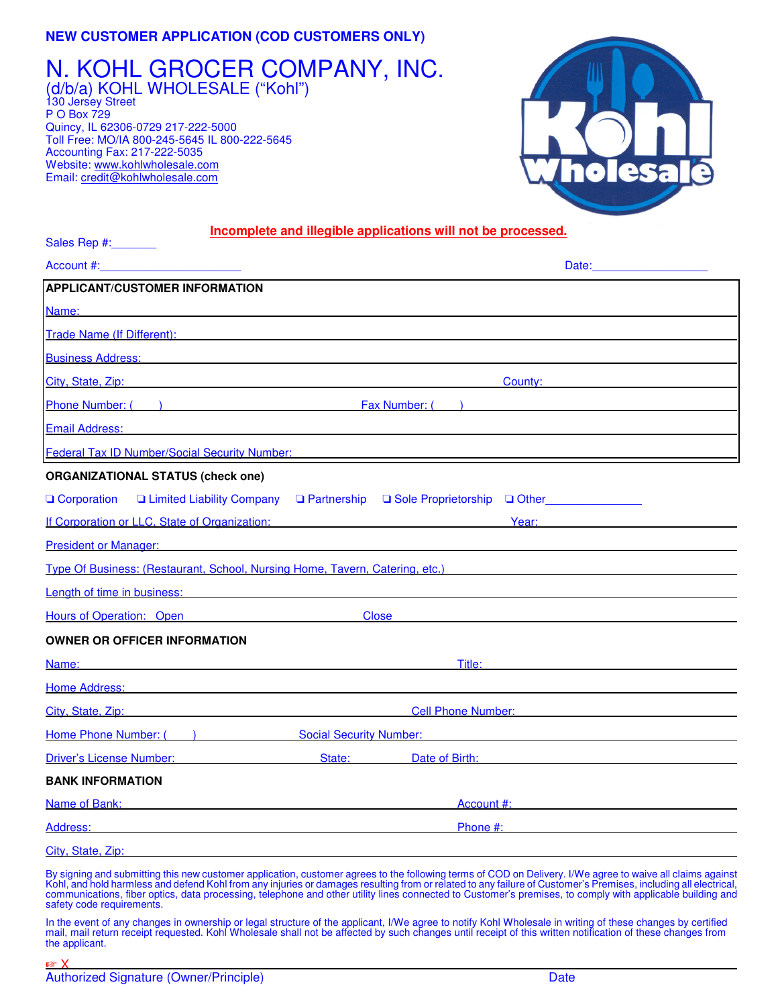## **NEW CUSTOMER APPLICATION (COD CUSTOMERS ONLY)**

## N. KOHL GROCER COMPANY, INC. (d/b/a) KOHL WHOLESALE ("Kohl")

130 Jersey Street P O Box 729 Quincy, IL 62306-0729 217-222-5000 Toll Free: MO/IA 800-245-5645 IL 800-222-5645 Accounting Fax: 217-222-5035 Website: www.kohlwholesale.com Email: credit@kohlwholesale.com



## **Incomplete and illegible applications will not be processed.**

| Sales Rep #: New York                                                                                                                                                                                                               |              |                                              |                                                                                                                                                                                          |  |  |  |  |
|-------------------------------------------------------------------------------------------------------------------------------------------------------------------------------------------------------------------------------------|--------------|----------------------------------------------|------------------------------------------------------------------------------------------------------------------------------------------------------------------------------------------|--|--|--|--|
| Account #:                                                                                                                                                                                                                          |              |                                              | Date: <b>Date:</b>                                                                                                                                                                       |  |  |  |  |
| <b>APPLICANT/CUSTOMER INFORMATION</b>                                                                                                                                                                                               |              |                                              |                                                                                                                                                                                          |  |  |  |  |
| Name:                                                                                                                                                                                                                               |              |                                              |                                                                                                                                                                                          |  |  |  |  |
| Trade Name (If Different): Trade Name (If Different):                                                                                                                                                                               |              |                                              |                                                                                                                                                                                          |  |  |  |  |
| <b>Business Address:</b>                                                                                                                                                                                                            |              |                                              |                                                                                                                                                                                          |  |  |  |  |
| City, State, Zip: <b>City, State, Zip:</b> 2014. The contract of the contract of the contract of the contract of the contract of the contract of the contract of the contract of the contract of the contract of the contract of th |              |                                              | <b>County: County: County: County: County: County: County: County: County: County: County: County: County: County: County: County: County: County: County: County: County: County: C</b> |  |  |  |  |
| Phone Number: ( and ) and Contact Contact Contact Contact Contact Contact Contact Contact Contact Contact Contact Contact Contact Contact Contact Contact Contact Contact Contact Contact Contact Contact Contact Contact Cont      |              |                                              |                                                                                                                                                                                          |  |  |  |  |
| <b>Email Address:</b>                                                                                                                                                                                                               |              |                                              |                                                                                                                                                                                          |  |  |  |  |
| <b>Federal Tax ID Number/Social Security Number:</b>                                                                                                                                                                                |              |                                              |                                                                                                                                                                                          |  |  |  |  |
| <b>ORGANIZATIONAL STATUS (check one)</b>                                                                                                                                                                                            |              |                                              |                                                                                                                                                                                          |  |  |  |  |
| <b>Q</b> Corporation                                                                                                                                                                                                                |              |                                              | □ Limited Liability Company □ Partnership □ Sole Proprietorship □ Other__________                                                                                                        |  |  |  |  |
| If Corporation or LLC, State of Organization:                                                                                                                                                                                       |              |                                              | Year:                                                                                                                                                                                    |  |  |  |  |
| President or Manager: <b>Example 2018</b> 2019 12:00:00 President or Manager:                                                                                                                                                       |              |                                              |                                                                                                                                                                                          |  |  |  |  |
| Type Of Business: (Restaurant, School, Nursing Home, Tavern, Catering, etc.)                                                                                                                                                        |              |                                              |                                                                                                                                                                                          |  |  |  |  |
| <b>Length of time in business: CONSIDERENT CONSIDERED ASSESSED ASSOCIATES</b>                                                                                                                                                       |              |                                              |                                                                                                                                                                                          |  |  |  |  |
| Hours of Operation: Open                                                                                                                                                                                                            | <b>Close</b> |                                              |                                                                                                                                                                                          |  |  |  |  |
| <b>OWNER OR OFFICER INFORMATION</b>                                                                                                                                                                                                 |              |                                              |                                                                                                                                                                                          |  |  |  |  |
| Name: when the contract of the contract of the contract of the contract of the contract of the contract of the                                                                                                                      | Title:       |                                              |                                                                                                                                                                                          |  |  |  |  |
| Home Address: North American Contract of the Address of the Address of the Address of the Address of the Address of the Address of the Address of the Address of the Address of the Address of the Address of the Address of t      |              |                                              |                                                                                                                                                                                          |  |  |  |  |
| City, State, Zip: The Contract of the City of the City of the City of the City of the City of the City of the City                                                                                                                  |              | <b>Cell Phone Number:</b> Cell Phone Number: |                                                                                                                                                                                          |  |  |  |  |
| Home Phone Number: ( )                                                                                                                                                                                                              |              | <b>Social Security Number:</b>               |                                                                                                                                                                                          |  |  |  |  |
| <b>Driver's License Number:</b>                                                                                                                                                                                                     | State:       | Date of Birth: <b>Example 2014</b>           |                                                                                                                                                                                          |  |  |  |  |
| <b>BANK INFORMATION</b>                                                                                                                                                                                                             |              |                                              |                                                                                                                                                                                          |  |  |  |  |
| Name of Bank:                                                                                                                                                                                                                       |              | Account #:                                   |                                                                                                                                                                                          |  |  |  |  |
| Address:                                                                                                                                                                                                                            | Phone #:     |                                              |                                                                                                                                                                                          |  |  |  |  |
| City. State. Zip:                                                                                                                                                                                                                   |              |                                              |                                                                                                                                                                                          |  |  |  |  |

By signing and submitting this new customer application, customer agrees to the following terms of COD on Delivery. I/We agree to waive all claims against Kohl, and hold harmless and defend Kohl from any injuries or damages resulting from or related to any failure of Customer's Premises, including all electrical, communications, fiber optics, data processing, telephone and other utility lines connected to Customer's premises, to comply with applicable building and safety code requirements.

In the event of any changes in ownership or legal structure of the applicant, I/We agree to notify Kohl Wholesale in writing of these changes by certified mail, mail return receipt requested. Kohl Wholesale shall not be affected by such changes until receipt of this written notification of these changes from the applicant.